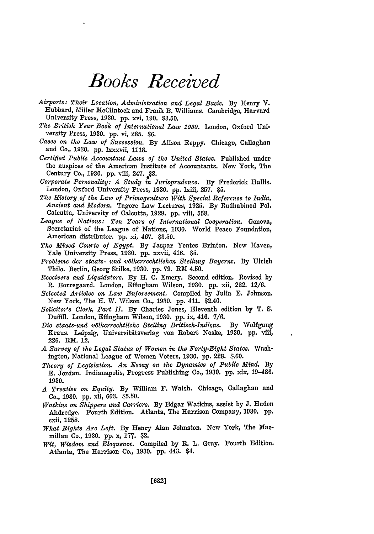## *Books Received*

- *Airports: Their Location, Administration and Legal Basis.* By Henry V. Hubbard, Miller McClintock and Frank B. Williams. Cambridge, Harvard University Press, 1930. **pp.** xvi, 190. \$3.50.
- *The British Year Book of International Law 1930.* London, Oxford University Press, 1930. **pp.** vi, 285. \$6.
- *Cases on the Law of Succession.* **By** Alison Reppy. Chicago, Callaghan and Co., 1930. **pp.** xxxvii, 1118.
- *Certified Public Accountant Laws of the United States.* Published under the auspices of the American Institute of Accountants. New York, The Century Co., 1930. pp. viii, 247. §3.
- *Corporate Personality: A Study in Jurisprudence.* By Frederick Halls. London, Oxford University Press, 1930. **pp.** lxiii, 257. \$5.
- *The History of the Law of Primogeniture With Special Reference to India, Ancient and Modern.* Tagore Law Lectures, 1925. **By** Radhabinod Pol. Calcutta, University of Calcutta, 1929. **pp.** viii, 558.
- *League of Nations: Ten Years of International Cooperation.* Geneva, Secretariat of the League of Nations, 1930. World Peace Foundation, American distributor. pp. xi, 467. \$3.50.
- *The Mixed Courts of Egypt.* By Jaspar Yeates Brinton. New Haven, Yale University Press, **1930. pp.** xxvii, 416. **\$5.**
- *Probleme der staats- und v6lkerrechtlichen Stellung Bayerns.* **By** Ulrich Thilo. Berlin, Georg Stilke, 1930. **pp. 79.** RM 4.50.
- *Receivers and Liquidators.* **By** H. C. Emery. Second edition. Revised by R. Borregaard. London, Effingham Wilson, 1930. **pp.** xii, 222. 12/6.
- *Selected Articles on Law Enforcement.* Compiled by Julia **E.** Johnson. New York, The H. W. Wilson Co., 1930. **pp.** 411. \$2.40.
- *Solicitor's Clerk, Part II.* **By** Charles Jones, Eleventh edition by T. **S.** Duffill. London, Effingham Wilson, 1930. **pp.** ix, 416. 7/6.
- *Die etaats-und v6lkerrechtliche Stelling Britisch-Indiens.* **By** Wolfgang Kraus. Leipzig, Universitfitsverlag von Robert Noske, 1930. **pp.** viii, 226. RM. 12.
- *A Survey of the Legal Status of Women in the Forty-Eight States.* Washington, National League of Women Voters, 1930. **pp.** 228. \$.60.
- *Theory of Legislation. An Essay on the Dynamics of Public Mind.* **By E.** Jordan. Indianapolis, Progress Publishing Co., **1930. pp.** xix, 19-486. 1930.
- *A Treatise on Equity.* **By** William F. Walsh. Chicago, Callaghan and Co., 1930. **pp.** xli, 603. \$5.50.
- *Watkins on Shippers and Carriers.* **By** Edgar Watkins, assist by **J.** Haden Ahdredge. Fourth Edition. Atlanta, The Harrison Company, 1930. **pp. cxii, 1258.**
- *What Rights Are Left.* **By** Henry Alan Johnston. New York, The Macmillan Co., 1930. **pp.** x, **177.** \$2.
- *Wit, Wisdom and Eloquence.* Compiled by R. L. Gray. Fourth Edition. Atlanta, The Harrison Co., 1930. **pp.** 443. \$4.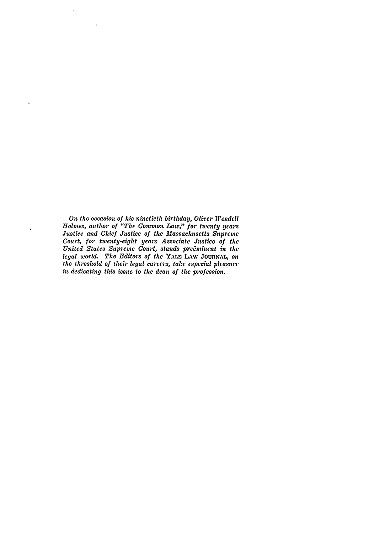*On the occasion of his ninetieth birthday, Olirer Wendell Holmes, author of "The Common Law," for twenty years Justice and Chief Justice of the Massachusetts Supreme Court, for* twenty-eight *years Associate Justice of the United States Supreme Court, stands preEmincnt* **in** *the legal world. The Editors of the* YALE **LAWY JOURNAL,** *on the threshold of their legal careers, take especial pleamsre in dedicating this issue to the dean of the profession.*